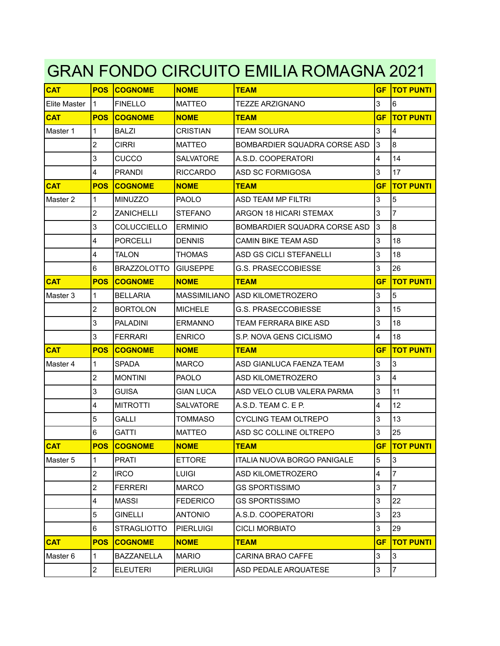## GRAN FONDO CIRCUITO EMILIA ROMAGNA 2021

| <b>CAT</b>   | <b>POS</b>              | <b>COGNOME</b>     | <b>NOME</b>      | TEAM                           | GF             | <b>TOT PUNTI</b> |
|--------------|-------------------------|--------------------|------------------|--------------------------------|----------------|------------------|
| Elite Master | 11                      | <b>FINELLO</b>     | <b>MATTEO</b>    | <b>TEZZE ARZIGNANO</b>         | 3              | 6                |
| <b>CAT</b>   | <b>POS</b>              | <b>COGNOME</b>     | <b>NOME</b>      | <b>TEAM</b>                    | <b>GF</b>      | <b>TOT PUNTI</b> |
| Master 1     | $\mathbf{1}$            | <b>BALZI</b>       | <b>CRISTIAN</b>  | <b>TEAM SOLURA</b>             | 3              | 4                |
|              | $\overline{2}$          | <b>CIRRI</b>       | <b>MATTEO</b>    | BOMBARDIER SQUADRA CORSE ASD   | 3              | 8                |
|              | 3                       | CUCCO              | <b>SALVATORE</b> | A.S.D. COOPERATORI             | $\overline{4}$ | 14               |
|              | 4                       | <b>PRANDI</b>      | <b>RICCARDO</b>  | ASD SC FORMIGOSA               | 3              | 17               |
| <b>CAT</b>   | <b>POS</b>              | <b>COGNOME</b>     | <b>NOME</b>      | <b>TEAM</b>                    | <b>GF</b>      | <b>TOT PUNTI</b> |
| Master 2     | $\mathbf{1}$            | <b>MINUZZO</b>     | <b>PAOLO</b>     | <b>ASD TEAM MP FILTRI</b>      | 3              | 5                |
|              | $\overline{2}$          | <b>ZANICHELLI</b>  | <b>STEFANO</b>   | <b>ARGON 18 HICARI STEMAX</b>  | 3              | $\overline{7}$   |
|              | 3                       | COLUCCIELLO        | <b>IERMINIO</b>  | BOMBARDIER SQUADRA CORSE ASD   | 3              | 8                |
|              | $\overline{4}$          | <b>PORCELLI</b>    | <b>DENNIS</b>    | <b>CAMIN BIKE TEAM ASD</b>     | 3              | 18               |
|              | $\overline{\mathbf{4}}$ | <b>TALON</b>       | <b>THOMAS</b>    | <b>ASD GS CICLI STEFANELLI</b> | 3              | 18               |
|              | 6                       | <b>BRAZZOLOTTO</b> | IGIUSEPPE        | <b>G.S. PRASECCOBIESSE</b>     | 3              | 26               |
| <b>CAT</b>   | <b>POS</b>              | <b>COGNOME</b>     | <b>NOME</b>      | <b>TEAM</b>                    | GF             | <b>TOT PUNTI</b> |
| Master 3     | $\mathbf{1}$            | <b>BELLARIA</b>    | MASSIMILIANO     | IASD KILOMETROZERO             | 3              | 5                |
|              | $\overline{2}$          | <b>BORTOLON</b>    | <b>MICHELE</b>   | <b>G.S. PRASECCOBIESSE</b>     | 3              | 15               |
|              | 3                       | <b>PALADINI</b>    | <b>ERMANNO</b>   | TEAM FERRARA BIKE ASD          | 3              | 18               |
|              | 3                       | <b>FERRARI</b>     | <b>ENRICO</b>    | S.P. NOVA GENS CICLISMO        | $\overline{4}$ | 18               |
| <b>CAT</b>   | <b>POS</b>              | <b>COGNOME</b>     | <b>NOME</b>      | <b>TEAM</b>                    | <b>GF</b>      | <b>TOT PUNTI</b> |
| Master 4     | $\mathbf{1}$            | <b>SPADA</b>       | <b>MARCO</b>     | ASD GIANLUCA FAENZA TEAM       | 3              | 3                |
|              | $\overline{2}$          | <b>MONTINI</b>     | <b>PAOLO</b>     | <b>ASD KILOMETROZERO</b>       | 3              | $\overline{4}$   |
|              | 3                       | <b>GUISA</b>       | <b>GIAN LUCA</b> | ASD VELO CLUB VALERA PARMA     | 3              | 11               |
|              | $\overline{\mathbf{4}}$ | <b>MITROTTI</b>    | <b>SALVATORE</b> | A.S.D. TEAM C. E P.            | 4              | 12               |
|              | $\overline{5}$          | <b>GALLI</b>       | <b>TOMMASO</b>   | <b>CYCLING TEAM OLTREPO</b>    | 3              | 13               |
|              | 6                       | <b>GATTI</b>       | <b>MATTEO</b>    | ASD SC COLLINE OLTREPO         | 3              | 25               |
| CAT          | <b>POS</b>              | <b>COGNOME</b>     | <b>NOME</b>      | <b>TEAM</b>                    | <b>GF</b>      | <b>TOT PUNTI</b> |
| Master 5     | $\mathbf{1}$            | <b>PRATI</b>       | <b>ETTORE</b>    | ITALIA NUOVA BORGO PANIGALE    | 5              | 3                |
|              | $\overline{2}$          | <b>IRCO</b>        | <b>LUIGI</b>     | <b>ASD KILOMETROZERO</b>       | 4              | $\overline{7}$   |
|              | $\boldsymbol{2}$        | <b>FERRERI</b>     | MARCO            | <b>GS SPORTISSIMO</b>          | 3              | $\overline{7}$   |
|              | 4                       | <b>MASSI</b>       | <b>FEDERICO</b>  | <b>GS SPORTISSIMO</b>          | 3              | 22               |
|              | 5                       | <b>GINELLI</b>     | <b>ANTONIO</b>   | A.S.D. COOPERATORI             | 3              | 23               |
|              | 6                       | <b>STRAGLIOTTO</b> | PIERLUIGI        | <b>CICLI MORBIATO</b>          | 3              | 29               |
| <b>CAT</b>   | <b>POS</b>              | <b>COGNOME</b>     | <b>NOME</b>      | <b>TEAM</b>                    | <b>GF</b>      | <b>TOT PUNTI</b> |
| Master 6     | 1                       | BAZZANELLA         | <b>MARIO</b>     | CARINA BRAO CAFFE              | 3              | 3                |
|              | $\overline{\mathbf{c}}$ | <b>ELEUTERI</b>    | <b>PIERLUIGI</b> | ASD PEDALE ARQUATESE           | 3              | $\overline{7}$   |